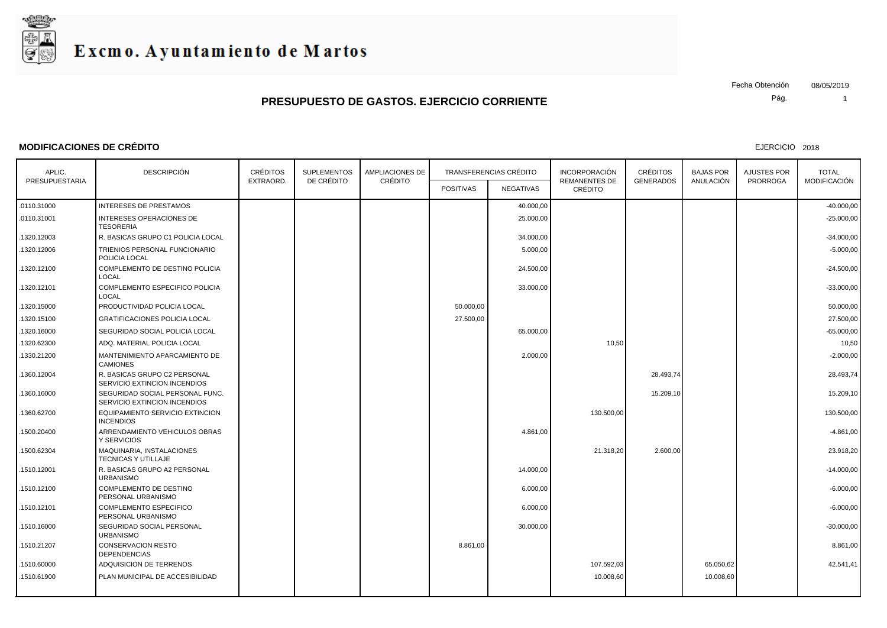

#### **MODIFICACIONES DE CRÉDITO**

EJERCICIO 2018

Pág. Fecha Obtención 08/05/2019

| APLIC.         | <b>DESCRIPCIÓN</b>                                              | <b>CRÉDITOS</b><br>EXTRAORD. | <b>SUPLEMENTOS</b><br>DE CRÉDITO | <b>AMPLIACIONES DE</b><br>CRÉDITO | <b>TRANSFERENCIAS CRÉDITO</b> |           | <b>INCORPORACIÓN</b>            | <b>CRÉDITOS</b>  | <b>BAJAS POR</b> | AJUSTES POR     | <b>TOTAL</b>        |
|----------------|-----------------------------------------------------------------|------------------------------|----------------------------------|-----------------------------------|-------------------------------|-----------|---------------------------------|------------------|------------------|-----------------|---------------------|
| PRESUPUESTARIA |                                                                 |                              |                                  |                                   | <b>POSITIVAS</b>              | NEGATIVAS | <b>REMANENTES DE</b><br>CRÉDITO | <b>GENERADOS</b> | ANULACIÓN        | <b>PRORROGA</b> | <b>MODIFICACIÓN</b> |
| .0110.31000    | <b>INTERESES DE PRESTAMOS</b>                                   |                              |                                  |                                   |                               | 40.000,00 |                                 |                  |                  |                 | $-40.000,00$        |
| .0110.31001    | INTERESES OPERACIONES DE<br><b>TESORERIA</b>                    |                              |                                  |                                   |                               | 25.000,00 |                                 |                  |                  |                 | $-25.000,00$        |
| 1320.12003     | R. BASICAS GRUPO C1 POLICIA LOCAL                               |                              |                                  |                                   |                               | 34.000,00 |                                 |                  |                  |                 | $-34.000,00$        |
| 1320.12006     | TRIENIOS PERSONAL FUNCIONARIO<br>POLICIA LOCAL                  |                              |                                  |                                   |                               | 5.000,00  |                                 |                  |                  |                 | $-5.000,00$         |
| .1320.12100    | COMPLEMENTO DE DESTINO POLICIA<br><b>LOCAL</b>                  |                              |                                  |                                   |                               | 24.500,00 |                                 |                  |                  |                 | $-24.500,00$        |
| 1320.12101     | COMPLEMENTO ESPECIFICO POLICIA<br><b>LOCAL</b>                  |                              |                                  |                                   |                               | 33.000,00 |                                 |                  |                  |                 | $-33.000,00$        |
| .1320.15000    | PRODUCTIVIDAD POLICIA LOCAL                                     |                              |                                  |                                   | 50.000,00                     |           |                                 |                  |                  |                 | 50.000,00           |
| 1320.15100     | <b>GRATIFICACIONES POLICIA LOCAL</b>                            |                              |                                  |                                   | 27.500,00                     |           |                                 |                  |                  |                 | 27.500,00           |
| 1320.16000     | SEGURIDAD SOCIAL POLICIA LOCAL                                  |                              |                                  |                                   |                               | 65.000,00 |                                 |                  |                  |                 | $-65.000,00$        |
| 1320.62300     | ADQ. MATERIAL POLICIA LOCAL                                     |                              |                                  |                                   |                               |           | 10,50                           |                  |                  |                 | 10,50               |
| 1330.21200     | MANTENIMIENTO APARCAMIENTO DE<br><b>CAMIONES</b>                |                              |                                  |                                   |                               | 2.000,00  |                                 |                  |                  |                 | $-2.000,00$         |
| 1360.12004     | R. BASICAS GRUPO C2 PERSONAL<br>SERVICIO EXTINCION INCENDIOS    |                              |                                  |                                   |                               |           |                                 | 28.493,74        |                  |                 | 28.493,74           |
| 1360.16000     | SEGURIDAD SOCIAL PERSONAL FUNC.<br>SERVICIO EXTINCION INCENDIOS |                              |                                  |                                   |                               |           |                                 | 15.209,10        |                  |                 | 15.209,10           |
| 1360.62700     | EQUIPAMIENTO SERVICIO EXTINCION<br><b>INCENDIOS</b>             |                              |                                  |                                   |                               |           | 130.500,00                      |                  |                  |                 | 130.500,00          |
| 1500.20400     | ARRENDAMIENTO VEHICULOS OBRAS<br>Y SERVICIOS                    |                              |                                  |                                   |                               | 4.861,00  |                                 |                  |                  |                 | $-4.861,00$         |
| 1500.62304     | MAQUINARIA, INSTALACIONES<br>TECNICAS Y UTILLAJE                |                              |                                  |                                   |                               |           | 21.318,20                       | 2.600,00         |                  |                 | 23.918,20           |
| .1510.12001    | R. BASICAS GRUPO A2 PERSONAL<br><b>URBANISMO</b>                |                              |                                  |                                   |                               | 14.000,00 |                                 |                  |                  |                 | $-14.000,00$        |
| 1510.12100     | <b>COMPLEMENTO DE DESTINO</b><br>PERSONAL URBANISMO             |                              |                                  |                                   |                               | 6.000,00  |                                 |                  |                  |                 | $-6.000,00$         |
| 1510.12101     | <b>COMPLEMENTO ESPECIFICO</b><br>PERSONAL URBANISMO             |                              |                                  |                                   |                               | 6.000,00  |                                 |                  |                  |                 | $-6.000,00$         |
| 1510.16000     | SEGURIDAD SOCIAL PERSONAL<br><b>URBANISMO</b>                   |                              |                                  |                                   |                               | 30.000,00 |                                 |                  |                  |                 | $-30.000,00$        |
| .1510.21207    | <b>CONSERVACION RESTO</b><br><b>DEPENDENCIAS</b>                |                              |                                  |                                   | 8.861,00                      |           |                                 |                  |                  |                 | 8.861,00            |
| .1510.60000    | ADQUISICION DE TERRENOS                                         |                              |                                  |                                   |                               |           | 107.592,03                      |                  | 65.050,62        |                 | 42.541,41           |
| 1510.61900     | PLAN MUNICIPAL DE ACCESIBILIDAD                                 |                              |                                  |                                   |                               |           | 10.008,60                       |                  | 10.008,60        |                 |                     |
|                |                                                                 |                              |                                  |                                   |                               |           |                                 |                  |                  |                 |                     |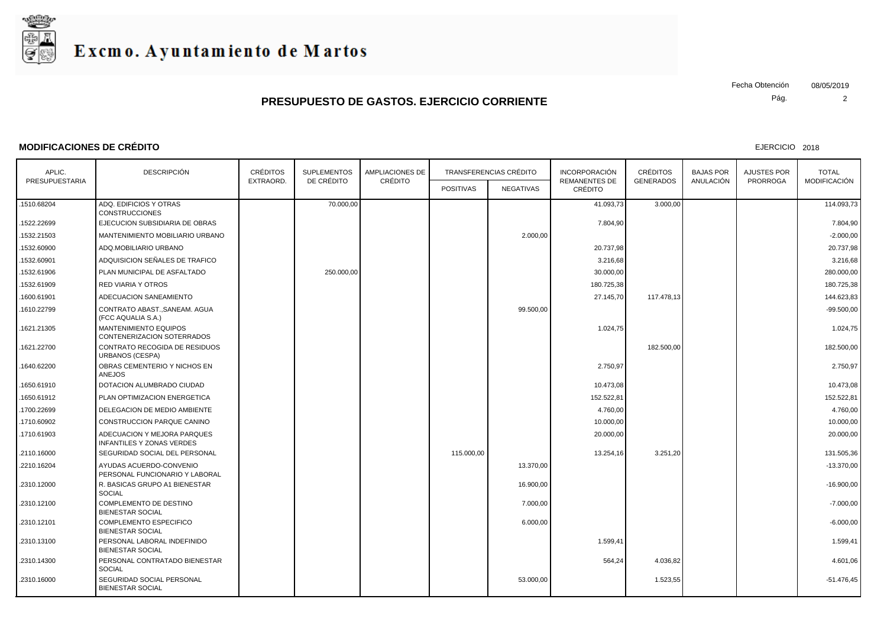

#### **MODIFICACIONES DE CRÉDITO**

EJERCICIO 2018

Pág. Fecha Obtención 08/05/2019

| <b>REMANENTES DE</b><br><b>POSITIVAS</b><br><b>NEGATIVAS</b><br>CRÉDITO<br>ADQ. EDIFICIOS Y OTRAS<br>70.000,00<br>41.093,73<br>3.000,00<br>.1510.68204<br><b>CONSTRUCCIONES</b><br>1522.22699<br>EJECUCION SUBSIDIARIA DE OBRAS<br>7.804,90<br>1532.21503<br>MANTENIMIENTO MOBILIARIO URBANO<br>2.000,00<br>ADQ.MOBILIARIO URBANO<br>20.737,98<br>1532.60900<br>ADQUISICION SEÑALES DE TRAFICO<br>3.216,68<br>1532.60901<br>PLAN MUNICIPAL DE ASFALTADO<br>250.000,00<br>30.000,00<br>.1532.61906<br>1532.61909<br>180.725,38<br>RED VIARIA Y OTROS<br>27.145,70<br>.1600.61901<br>ADECUACION SANEAMIENTO<br>117.478,13<br>99.500,00<br>1610.22799<br>CONTRATO ABAST., SANEAM. AGUA<br>(FCC AQUALIA S.A.)<br><b>MANTENIMIENTO EQUIPOS</b><br>1.024,75<br>.1621.21305<br>CONTENERIZACION SOTERRADOS<br>CONTRATO RECOGIDA DE RESIDUOS<br>182.500,00<br>.1621.22700<br><b>URBANOS (CESPA)</b><br>OBRAS CEMENTERIO Y NICHOS EN<br>2.750,97<br>.1640.62200<br><b>ANEJOS</b><br>DOTACION ALUMBRADO CIUDAD<br>10.473,08<br>1650.61910<br>152.522,81<br>1650.61912<br>PLAN OPTIMIZACION ENERGETICA<br>.1700.22699<br>DELEGACION DE MEDIO AMBIENTE<br>4.760,00<br>.1710.60902<br>CONSTRUCCION PARQUE CANINO<br>10.000,00<br>1710.61903<br>ADECUACION Y MEJORA PARQUES<br>20.000,00<br><b>INFANTILES Y ZONAS VERDES</b><br>13.254,16<br>SEGURIDAD SOCIAL DEL PERSONAL<br>115.000,00<br>3.251,20<br>.2110.16000<br>AYUDAS ACUERDO-CONVENIO<br>13.370,00<br>.2210.16204<br>PERSONAL FUNCIONARIO Y LABORAL<br>R. BASICAS GRUPO A1 BIENESTAR<br>16.900,00<br>.2310.12000<br><b>SOCIAL</b><br>COMPLEMENTO DE DESTINO<br>7.000,00<br>.2310.12100<br><b>BIENESTAR SOCIAL</b><br><b>COMPLEMENTO ESPECIFICO</b><br>6.000,00<br>.2310.12101<br><b>BIENESTAR SOCIAL</b><br>PERSONAL LABORAL INDEFINIDO<br>1.599,41<br>.2310.13100<br><b>BIENESTAR SOCIAL</b><br>PERSONAL CONTRATADO BIENESTAR<br>2310.14300<br>564,24<br>4.036,82<br><b>SOCIAL</b><br>SEGURIDAD SOCIAL PERSONAL<br>1.523,55<br>.2310.16000<br>53.000,00 | APLIC.         | <b>DESCRIPCIÓN</b>      | <b>CRÉDITOS</b> | <b>SUPLEMENTOS</b><br>DE CRÉDITO | <b>AMPLIACIONES DE</b><br>CRÉDITO | <b>TRANSFERENCIAS CRÉDITO</b> |  | <b>INCORPORACIÓN</b> | <b>CRÉDITOS</b>  | <b>BAJAS POR</b> | <b>AJUSTES POR</b> | <b>TOTAL</b>        |
|----------------------------------------------------------------------------------------------------------------------------------------------------------------------------------------------------------------------------------------------------------------------------------------------------------------------------------------------------------------------------------------------------------------------------------------------------------------------------------------------------------------------------------------------------------------------------------------------------------------------------------------------------------------------------------------------------------------------------------------------------------------------------------------------------------------------------------------------------------------------------------------------------------------------------------------------------------------------------------------------------------------------------------------------------------------------------------------------------------------------------------------------------------------------------------------------------------------------------------------------------------------------------------------------------------------------------------------------------------------------------------------------------------------------------------------------------------------------------------------------------------------------------------------------------------------------------------------------------------------------------------------------------------------------------------------------------------------------------------------------------------------------------------------------------------------------------------------------------------------------------------------------------------------------------------------------------------------------------------------------------|----------------|-------------------------|-----------------|----------------------------------|-----------------------------------|-------------------------------|--|----------------------|------------------|------------------|--------------------|---------------------|
|                                                                                                                                                                                                                                                                                                                                                                                                                                                                                                                                                                                                                                                                                                                                                                                                                                                                                                                                                                                                                                                                                                                                                                                                                                                                                                                                                                                                                                                                                                                                                                                                                                                                                                                                                                                                                                                                                                                                                                                                    | PRESUPUESTARIA |                         | EXTRAORD.       |                                  |                                   |                               |  |                      | <b>GENERADOS</b> | ANULACIÓN        | <b>PRORROGA</b>    | <b>MODIFICACIÓN</b> |
|                                                                                                                                                                                                                                                                                                                                                                                                                                                                                                                                                                                                                                                                                                                                                                                                                                                                                                                                                                                                                                                                                                                                                                                                                                                                                                                                                                                                                                                                                                                                                                                                                                                                                                                                                                                                                                                                                                                                                                                                    |                |                         |                 |                                  |                                   |                               |  |                      |                  |                  |                    | 114.093,73          |
|                                                                                                                                                                                                                                                                                                                                                                                                                                                                                                                                                                                                                                                                                                                                                                                                                                                                                                                                                                                                                                                                                                                                                                                                                                                                                                                                                                                                                                                                                                                                                                                                                                                                                                                                                                                                                                                                                                                                                                                                    |                |                         |                 |                                  |                                   |                               |  |                      |                  |                  |                    | 7.804,90            |
|                                                                                                                                                                                                                                                                                                                                                                                                                                                                                                                                                                                                                                                                                                                                                                                                                                                                                                                                                                                                                                                                                                                                                                                                                                                                                                                                                                                                                                                                                                                                                                                                                                                                                                                                                                                                                                                                                                                                                                                                    |                |                         |                 |                                  |                                   |                               |  |                      |                  |                  |                    | $-2.000,00$         |
|                                                                                                                                                                                                                                                                                                                                                                                                                                                                                                                                                                                                                                                                                                                                                                                                                                                                                                                                                                                                                                                                                                                                                                                                                                                                                                                                                                                                                                                                                                                                                                                                                                                                                                                                                                                                                                                                                                                                                                                                    |                |                         |                 |                                  |                                   |                               |  |                      |                  |                  |                    | 20.737,98           |
|                                                                                                                                                                                                                                                                                                                                                                                                                                                                                                                                                                                                                                                                                                                                                                                                                                                                                                                                                                                                                                                                                                                                                                                                                                                                                                                                                                                                                                                                                                                                                                                                                                                                                                                                                                                                                                                                                                                                                                                                    |                |                         |                 |                                  |                                   |                               |  |                      |                  |                  |                    | 3.216,68            |
|                                                                                                                                                                                                                                                                                                                                                                                                                                                                                                                                                                                                                                                                                                                                                                                                                                                                                                                                                                                                                                                                                                                                                                                                                                                                                                                                                                                                                                                                                                                                                                                                                                                                                                                                                                                                                                                                                                                                                                                                    |                |                         |                 |                                  |                                   |                               |  |                      |                  |                  |                    | 280.000,00          |
|                                                                                                                                                                                                                                                                                                                                                                                                                                                                                                                                                                                                                                                                                                                                                                                                                                                                                                                                                                                                                                                                                                                                                                                                                                                                                                                                                                                                                                                                                                                                                                                                                                                                                                                                                                                                                                                                                                                                                                                                    |                |                         |                 |                                  |                                   |                               |  |                      |                  |                  |                    | 180.725,38          |
|                                                                                                                                                                                                                                                                                                                                                                                                                                                                                                                                                                                                                                                                                                                                                                                                                                                                                                                                                                                                                                                                                                                                                                                                                                                                                                                                                                                                                                                                                                                                                                                                                                                                                                                                                                                                                                                                                                                                                                                                    |                |                         |                 |                                  |                                   |                               |  |                      |                  |                  |                    | 144.623,83          |
|                                                                                                                                                                                                                                                                                                                                                                                                                                                                                                                                                                                                                                                                                                                                                                                                                                                                                                                                                                                                                                                                                                                                                                                                                                                                                                                                                                                                                                                                                                                                                                                                                                                                                                                                                                                                                                                                                                                                                                                                    |                |                         |                 |                                  |                                   |                               |  |                      |                  |                  |                    | $-99.500,00$        |
|                                                                                                                                                                                                                                                                                                                                                                                                                                                                                                                                                                                                                                                                                                                                                                                                                                                                                                                                                                                                                                                                                                                                                                                                                                                                                                                                                                                                                                                                                                                                                                                                                                                                                                                                                                                                                                                                                                                                                                                                    |                |                         |                 |                                  |                                   |                               |  |                      |                  |                  |                    | 1.024,75            |
|                                                                                                                                                                                                                                                                                                                                                                                                                                                                                                                                                                                                                                                                                                                                                                                                                                                                                                                                                                                                                                                                                                                                                                                                                                                                                                                                                                                                                                                                                                                                                                                                                                                                                                                                                                                                                                                                                                                                                                                                    |                |                         |                 |                                  |                                   |                               |  |                      |                  |                  |                    | 182.500,00          |
|                                                                                                                                                                                                                                                                                                                                                                                                                                                                                                                                                                                                                                                                                                                                                                                                                                                                                                                                                                                                                                                                                                                                                                                                                                                                                                                                                                                                                                                                                                                                                                                                                                                                                                                                                                                                                                                                                                                                                                                                    |                |                         |                 |                                  |                                   |                               |  |                      |                  |                  |                    | 2.750,97            |
|                                                                                                                                                                                                                                                                                                                                                                                                                                                                                                                                                                                                                                                                                                                                                                                                                                                                                                                                                                                                                                                                                                                                                                                                                                                                                                                                                                                                                                                                                                                                                                                                                                                                                                                                                                                                                                                                                                                                                                                                    |                |                         |                 |                                  |                                   |                               |  |                      |                  |                  |                    | 10.473,08           |
|                                                                                                                                                                                                                                                                                                                                                                                                                                                                                                                                                                                                                                                                                                                                                                                                                                                                                                                                                                                                                                                                                                                                                                                                                                                                                                                                                                                                                                                                                                                                                                                                                                                                                                                                                                                                                                                                                                                                                                                                    |                |                         |                 |                                  |                                   |                               |  |                      |                  |                  |                    | 152.522,81          |
|                                                                                                                                                                                                                                                                                                                                                                                                                                                                                                                                                                                                                                                                                                                                                                                                                                                                                                                                                                                                                                                                                                                                                                                                                                                                                                                                                                                                                                                                                                                                                                                                                                                                                                                                                                                                                                                                                                                                                                                                    |                |                         |                 |                                  |                                   |                               |  |                      |                  |                  |                    | 4.760,00            |
|                                                                                                                                                                                                                                                                                                                                                                                                                                                                                                                                                                                                                                                                                                                                                                                                                                                                                                                                                                                                                                                                                                                                                                                                                                                                                                                                                                                                                                                                                                                                                                                                                                                                                                                                                                                                                                                                                                                                                                                                    |                |                         |                 |                                  |                                   |                               |  |                      |                  |                  |                    | 10.000,00           |
|                                                                                                                                                                                                                                                                                                                                                                                                                                                                                                                                                                                                                                                                                                                                                                                                                                                                                                                                                                                                                                                                                                                                                                                                                                                                                                                                                                                                                                                                                                                                                                                                                                                                                                                                                                                                                                                                                                                                                                                                    |                |                         |                 |                                  |                                   |                               |  |                      |                  |                  |                    | 20.000,00           |
|                                                                                                                                                                                                                                                                                                                                                                                                                                                                                                                                                                                                                                                                                                                                                                                                                                                                                                                                                                                                                                                                                                                                                                                                                                                                                                                                                                                                                                                                                                                                                                                                                                                                                                                                                                                                                                                                                                                                                                                                    |                |                         |                 |                                  |                                   |                               |  |                      |                  |                  |                    | 131.505,36          |
|                                                                                                                                                                                                                                                                                                                                                                                                                                                                                                                                                                                                                                                                                                                                                                                                                                                                                                                                                                                                                                                                                                                                                                                                                                                                                                                                                                                                                                                                                                                                                                                                                                                                                                                                                                                                                                                                                                                                                                                                    |                |                         |                 |                                  |                                   |                               |  |                      |                  |                  |                    | $-13.370,00$        |
|                                                                                                                                                                                                                                                                                                                                                                                                                                                                                                                                                                                                                                                                                                                                                                                                                                                                                                                                                                                                                                                                                                                                                                                                                                                                                                                                                                                                                                                                                                                                                                                                                                                                                                                                                                                                                                                                                                                                                                                                    |                |                         |                 |                                  |                                   |                               |  |                      |                  |                  |                    | $-16.900,00$        |
|                                                                                                                                                                                                                                                                                                                                                                                                                                                                                                                                                                                                                                                                                                                                                                                                                                                                                                                                                                                                                                                                                                                                                                                                                                                                                                                                                                                                                                                                                                                                                                                                                                                                                                                                                                                                                                                                                                                                                                                                    |                |                         |                 |                                  |                                   |                               |  |                      |                  |                  |                    | $-7.000,00$         |
|                                                                                                                                                                                                                                                                                                                                                                                                                                                                                                                                                                                                                                                                                                                                                                                                                                                                                                                                                                                                                                                                                                                                                                                                                                                                                                                                                                                                                                                                                                                                                                                                                                                                                                                                                                                                                                                                                                                                                                                                    |                |                         |                 |                                  |                                   |                               |  |                      |                  |                  |                    | $-6.000,00$         |
|                                                                                                                                                                                                                                                                                                                                                                                                                                                                                                                                                                                                                                                                                                                                                                                                                                                                                                                                                                                                                                                                                                                                                                                                                                                                                                                                                                                                                                                                                                                                                                                                                                                                                                                                                                                                                                                                                                                                                                                                    |                |                         |                 |                                  |                                   |                               |  |                      |                  |                  |                    | 1.599,41            |
|                                                                                                                                                                                                                                                                                                                                                                                                                                                                                                                                                                                                                                                                                                                                                                                                                                                                                                                                                                                                                                                                                                                                                                                                                                                                                                                                                                                                                                                                                                                                                                                                                                                                                                                                                                                                                                                                                                                                                                                                    |                |                         |                 |                                  |                                   |                               |  |                      |                  |                  |                    | 4.601,06            |
|                                                                                                                                                                                                                                                                                                                                                                                                                                                                                                                                                                                                                                                                                                                                                                                                                                                                                                                                                                                                                                                                                                                                                                                                                                                                                                                                                                                                                                                                                                                                                                                                                                                                                                                                                                                                                                                                                                                                                                                                    |                | <b>BIENESTAR SOCIAL</b> |                 |                                  |                                   |                               |  |                      |                  |                  |                    | $-51.476,45$        |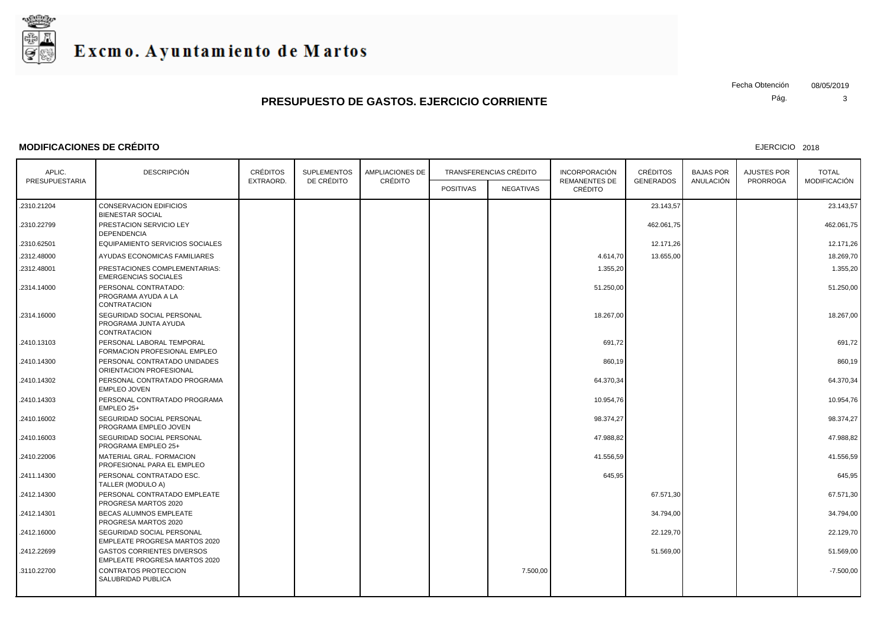

#### **MODIFICACIONES DE CRÉDITO**

EJERCICIO 2018

Pág. Fecha Obtención 08/05/2019

| APLIC.         | <b>DESCRIPCIÓN</b>                                                       | <b>CRÉDITOS</b><br>EXTRAORD. | <b>SUPLEMENTOS</b> | AMPLIACIONES DE<br>CRÉDITO | <b>TRANSFERENCIAS CRÉDITO</b> |           | <b>INCORPORACIÓN</b>                   | <b>CRÉDITOS</b>  | <b>BAJAS POR</b> | <b>AJUSTES POR</b> | <b>TOTAL</b> |
|----------------|--------------------------------------------------------------------------|------------------------------|--------------------|----------------------------|-------------------------------|-----------|----------------------------------------|------------------|------------------|--------------------|--------------|
| PRESUPUESTARIA |                                                                          |                              | DE CRÉDITO         |                            | <b>POSITIVAS</b>              | NEGATIVAS | <b>REMANENTES DE</b><br><b>CRÉDITO</b> | <b>GENERADOS</b> | ANULACIÓN        | <b>PRORROGA</b>    | MODIFICACIÓN |
| .2310.21204    | <b>CONSERVACION EDIFICIOS</b><br><b>BIENESTAR SOCIAL</b>                 |                              |                    |                            |                               |           |                                        | 23.143,57        |                  |                    | 23.143,57    |
| .2310.22799    | PRESTACION SERVICIO LEY<br><b>DEPENDENCIA</b>                            |                              |                    |                            |                               |           |                                        | 462.061,75       |                  |                    | 462.061,75   |
| .2310.62501    | EQUIPAMIENTO SERVICIOS SOCIALES                                          |                              |                    |                            |                               |           |                                        | 12.171,26        |                  |                    | 12.171,26    |
| .2312.48000    | AYUDAS ECONOMICAS FAMILIARES                                             |                              |                    |                            |                               |           | 4.614,70                               | 13.655,00        |                  |                    | 18.269,70    |
| .2312.48001    | PRESTACIONES COMPLEMENTARIAS:<br><b>EMERGENCIAS SOCIALES</b>             |                              |                    |                            |                               |           | 1.355,20                               |                  |                  |                    | 1.355,20     |
| .2314.14000    | PERSONAL CONTRATADO:<br>PROGRAMA AYUDA A LA<br>CONTRATACION              |                              |                    |                            |                               |           | 51.250,00                              |                  |                  |                    | 51.250,00    |
| .2314.16000    | SEGURIDAD SOCIAL PERSONAL<br>PROGRAMA JUNTA AYUDA<br><b>CONTRATACION</b> |                              |                    |                            |                               |           | 18.267,00                              |                  |                  |                    | 18.267,00    |
| .2410.13103    | PERSONAL LABORAL TEMPORAL<br>FORMACION PROFESIONAL EMPLEO                |                              |                    |                            |                               |           | 691,72                                 |                  |                  |                    | 691,72       |
| .2410.14300    | PERSONAL CONTRATADO UNIDADES<br>ORIENTACION PROFESIONAL                  |                              |                    |                            |                               |           | 860,19                                 |                  |                  |                    | 860,19       |
| .2410.14302    | PERSONAL CONTRATADO PROGRAMA<br><b>EMPLEO JOVEN</b>                      |                              |                    |                            |                               |           | 64.370,34                              |                  |                  |                    | 64.370,34    |
| .2410.14303    | PERSONAL CONTRATADO PROGRAMA<br>EMPLEO 25+                               |                              |                    |                            |                               |           | 10.954,76                              |                  |                  |                    | 10.954,76    |
| .2410.16002    | SEGURIDAD SOCIAL PERSONAL<br>PROGRAMA EMPLEO JOVEN                       |                              |                    |                            |                               |           | 98.374,27                              |                  |                  |                    | 98.374,27    |
| .2410.16003    | SEGURIDAD SOCIAL PERSONAL<br>PROGRAMA EMPLEO 25+                         |                              |                    |                            |                               |           | 47.988,82                              |                  |                  |                    | 47.988,82    |
| .2410.22006    | MATERIAL GRAL, FORMACION<br>PROFESIONAL PARA EL EMPLEO                   |                              |                    |                            |                               |           | 41.556,59                              |                  |                  |                    | 41.556,59    |
| .2411.14300    | PERSONAL CONTRATADO ESC.<br>TALLER (MODULO A)                            |                              |                    |                            |                               |           | 645,95                                 |                  |                  |                    | 645,95       |
| .2412.14300    | PERSONAL CONTRATADO EMPLEATE<br>PROGRESA MARTOS 2020                     |                              |                    |                            |                               |           |                                        | 67.571,30        |                  |                    | 67.571,30    |
| .2412.14301    | <b>BECAS ALUMNOS EMPLEATE</b><br>PROGRESA MARTOS 2020                    |                              |                    |                            |                               |           |                                        | 34.794,00        |                  |                    | 34.794,00    |
| .2412.16000    | SEGURIDAD SOCIAL PERSONAL<br>EMPLEATE PROGRESA MARTOS 2020               |                              |                    |                            |                               |           |                                        | 22.129,70        |                  |                    | 22.129,70    |
| .2412.22699    | <b>GASTOS CORRIENTES DIVERSOS</b><br>EMPLEATE PROGRESA MARTOS 2020       |                              |                    |                            |                               |           |                                        | 51.569,00        |                  |                    | 51.569,00    |
| .3110.22700    | CONTRATOS PROTECCION<br>SALUBRIDAD PUBLICA                               |                              |                    |                            |                               | 7.500,00  |                                        |                  |                  |                    | $-7.500,00$  |
|                |                                                                          |                              |                    |                            |                               |           |                                        |                  |                  |                    |              |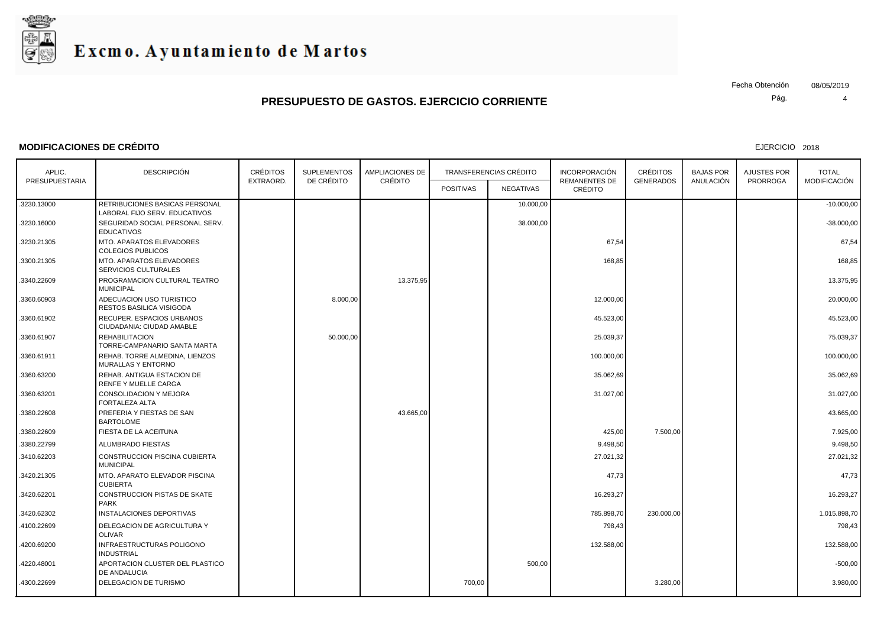

#### **MODIFICACIONES DE CRÉDITO**

EJERCICIO 2018

Pág.

| APLIC.         | <b>DESCRIPCIÓN</b>                                              | <b>CRÉDITOS</b><br>EXTRAORD. | <b>SUPLEMENTOS</b> | <b>AMPLIACIONES DE</b><br>CRÉDITO | <b>TRANSFERENCIAS CRÉDITO</b> |           | <b>INCORPORACIÓN</b>            | <b>CRÉDITOS</b>  | <b>BAJAS POR</b> | <b>AJUSTES POR</b> | <b>TOTAL</b>        |
|----------------|-----------------------------------------------------------------|------------------------------|--------------------|-----------------------------------|-------------------------------|-----------|---------------------------------|------------------|------------------|--------------------|---------------------|
| PRESUPUESTARIA |                                                                 |                              | DE CRÉDITO         |                                   | <b>POSITIVAS</b>              | NEGATIVAS | <b>REMANENTES DE</b><br>CRÉDITO | <b>GENERADOS</b> | ANULACIÓN        | <b>PRORROGA</b>    | <b>MODIFICACIÓN</b> |
| .3230.13000    | RETRIBUCIONES BASICAS PERSONAL<br>LABORAL FIJO SERV. EDUCATIVOS |                              |                    |                                   |                               | 10.000,00 |                                 |                  |                  |                    | $-10.000,00$        |
| .3230.16000    | SEGURIDAD SOCIAL PERSONAL SERV.<br><b>EDUCATIVOS</b>            |                              |                    |                                   |                               | 38.000,00 |                                 |                  |                  |                    | $-38.000,00$        |
| .3230.21305    | MTO. APARATOS ELEVADORES<br><b>COLEGIOS PUBLICOS</b>            |                              |                    |                                   |                               |           | 67,54                           |                  |                  |                    | 67,54               |
| .3300.21305    | MTO. APARATOS ELEVADORES<br>SERVICIOS CULTURALES                |                              |                    |                                   |                               |           | 168,85                          |                  |                  |                    | 168,85              |
| .3340.22609    | PROGRAMACION CULTURAL TEATRO<br><b>MUNICIPAL</b>                |                              |                    | 13.375,95                         |                               |           |                                 |                  |                  |                    | 13.375,95           |
| .3360.60903    | ADECUACION USO TURISTICO<br>RESTOS BASILICA VISIGODA            |                              | 8.000,00           |                                   |                               |           | 12.000,00                       |                  |                  |                    | 20.000,00           |
| .3360.61902    | RECUPER. ESPACIOS URBANOS<br>CIUDADANIA: CIUDAD AMABLE          |                              |                    |                                   |                               |           | 45.523,00                       |                  |                  |                    | 45.523,00           |
| .3360.61907    | <b>REHABILITACION</b><br>TORRE-CAMPANARIO SANTA MARTA           |                              | 50.000,00          |                                   |                               |           | 25.039,37                       |                  |                  |                    | 75.039,37           |
| .3360.61911    | REHAB. TORRE ALMEDINA, LIENZOS<br>MURALLAS Y ENTORNO            |                              |                    |                                   |                               |           | 100.000,00                      |                  |                  |                    | 100.000,00          |
| .3360.63200    | REHAB, ANTIGUA ESTACION DE<br><b>RENFE Y MUELLE CARGA</b>       |                              |                    |                                   |                               |           | 35.062,69                       |                  |                  |                    | 35.062,69           |
| 3360.63201     | CONSOLIDACION Y MEJORA<br>FORTALEZA ALTA                        |                              |                    |                                   |                               |           | 31.027,00                       |                  |                  |                    | 31.027,00           |
| .3380.22608    | PREFERIA Y FIESTAS DE SAN<br><b>BARTOLOME</b>                   |                              |                    | 43.665,00                         |                               |           |                                 |                  |                  |                    | 43.665,00           |
| .3380.22609    | FIESTA DE LA ACEITUNA                                           |                              |                    |                                   |                               |           | 425,00                          | 7.500,00         |                  |                    | 7.925,00            |
| .3380.22799    | ALUMBRADO FIESTAS                                               |                              |                    |                                   |                               |           | 9.498,50                        |                  |                  |                    | 9.498,50            |
| .3410.62203    | CONSTRUCCION PISCINA CUBIERTA<br><b>MUNICIPAL</b>               |                              |                    |                                   |                               |           | 27.021,32                       |                  |                  |                    | 27.021,32           |
| .3420.21305    | MTO. APARATO ELEVADOR PISCINA<br><b>CUBIERTA</b>                |                              |                    |                                   |                               |           | 47,73                           |                  |                  |                    | 47,73               |
| .3420.62201    | CONSTRUCCION PISTAS DE SKATE<br><b>PARK</b>                     |                              |                    |                                   |                               |           | 16.293,27                       |                  |                  |                    | 16.293,27           |
| .3420.62302    | <b>INSTALACIONES DEPORTIVAS</b>                                 |                              |                    |                                   |                               |           | 785.898,70                      | 230.000,00       |                  |                    | 1.015.898,70        |
| .4100.22699    | DELEGACION DE AGRICULTURA Y<br><b>OLIVAR</b>                    |                              |                    |                                   |                               |           | 798,43                          |                  |                  |                    | 798,43              |
| 4200.69200     | INFRAESTRUCTURAS POLIGONO<br><b>INDUSTRIAL</b>                  |                              |                    |                                   |                               |           | 132.588,00                      |                  |                  |                    | 132.588,00          |
| .4220.48001    | APORTACION CLUSTER DEL PLASTICO<br>DE ANDALUCIA                 |                              |                    |                                   |                               | 500,00    |                                 |                  |                  |                    | $-500,00$           |
| .4300.22699    | DELEGACION DE TURISMO                                           |                              |                    |                                   | 700,00                        |           |                                 | 3.280,00         |                  |                    | 3.980,00            |

Fecha Obtención 08/05/2019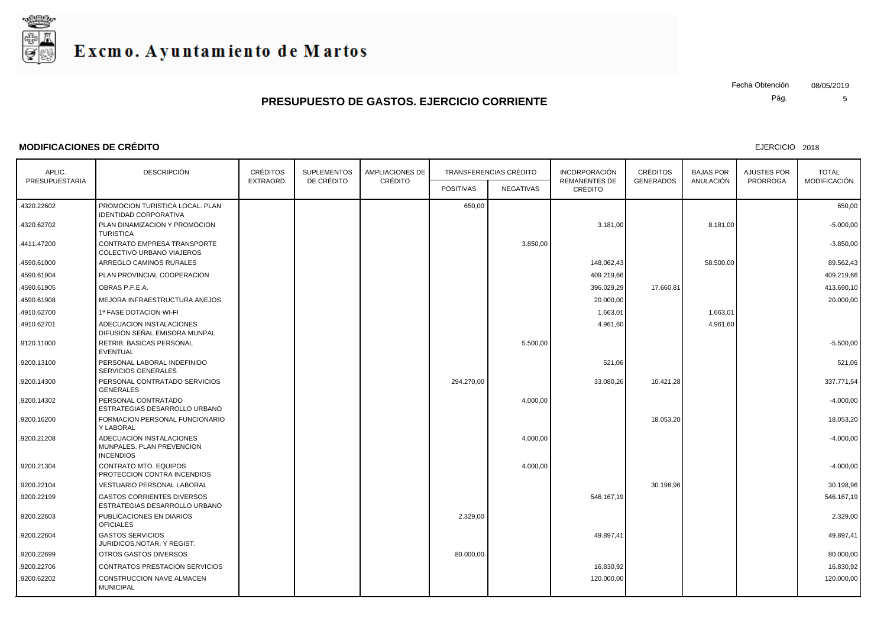

#### **MODIFICACIONES DE CRÉDITO**

EJERCICIO 2018

Pág. Fecha Obtención 08/05/2019

| APLIC.<br>PRESUPUESTARIA | <b>DESCRIPCIÓN</b>                                                        | <b>CRÉDITOS</b> | <b>SUPLEMENTOS</b><br>DE CRÉDITO | <b>AMPLIACIONES DE</b><br>CRÉDITO | <b>TRANSFERENCIAS CRÉDITO</b> |                  | <b>INCORPORACIÓN</b>            | <b>CRÉDITOS</b>  | <b>BAJAS POR</b> | <b>AJUSTES POR</b> | <b>TOTAL</b>        |
|--------------------------|---------------------------------------------------------------------------|-----------------|----------------------------------|-----------------------------------|-------------------------------|------------------|---------------------------------|------------------|------------------|--------------------|---------------------|
|                          |                                                                           | EXTRAORD.       |                                  |                                   | <b>POSITIVAS</b>              | <b>NEGATIVAS</b> | <b>REMANENTES DE</b><br>CRÉDITO | <b>GENERADOS</b> | ANULACIÓN        | <b>PRORROGA</b>    | <b>MODIFICACIÓN</b> |
| 4320.22602               | PROMOCION TURISTICA LOCAL. PLAN<br><b>IDENTIDAD CORPORATIVA</b>           |                 |                                  |                                   | 650,00                        |                  |                                 |                  |                  |                    | 650,00              |
| 4320.62702               | PLAN DINAMIZACION Y PROMOCION<br><b>TURISTICA</b>                         |                 |                                  |                                   |                               |                  | 3.181,00                        |                  | 8.181,00         |                    | $-5.000,00$         |
| 4411.47200               | CONTRATO EMPRESA TRANSPORTE<br>COLECTIVO URBANO VIAJEROS                  |                 |                                  |                                   |                               | 3.850,00         |                                 |                  |                  |                    | $-3.850,00$         |
| .4590.61000              | ARREGLO CAMINOS RURALES                                                   |                 |                                  |                                   |                               |                  | 148.062,43                      |                  | 58.500,00        |                    | 89.562,43           |
| .4590.61904              | PLAN PROVINCIAL COOPERACION                                               |                 |                                  |                                   |                               |                  | 409.219,66                      |                  |                  |                    | 409.219,66          |
| 4590.61905               | OBRAS P.F.E.A.                                                            |                 |                                  |                                   |                               |                  | 396.029,29                      | 17.660,81        |                  |                    | 413.690,10          |
| .4590.61908              | MEJORA INFRAESTRUCTURA ANEJOS                                             |                 |                                  |                                   |                               |                  | 20.000,00                       |                  |                  |                    | 20.000,00           |
| .4910.62700              | 1ª FASE DOTACION WI-FI                                                    |                 |                                  |                                   |                               |                  | 1.663,01                        |                  | 1.663,01         |                    |                     |
| .4910.62701              | ADECUACION INSTALACIONES<br>DIFUSION SEÑAL EMISORA MUNPAL                 |                 |                                  |                                   |                               |                  | 4.961,60                        |                  | 4.961,60         |                    |                     |
| .9120.11000              | <b>RETRIB. BASICAS PERSONAL</b><br>EVENTUAL                               |                 |                                  |                                   |                               | 5.500,00         |                                 |                  |                  |                    | $-5.500,00$         |
| .9200.13100              | PERSONAL LABORAL INDEFINIDO<br><b>SERVICIOS GENERALES</b>                 |                 |                                  |                                   |                               |                  | 521,06                          |                  |                  |                    | 521,06              |
| 9200.14300               | PERSONAL CONTRATADO SERVICIOS<br><b>GENERALES</b>                         |                 |                                  |                                   | 294.270,00                    |                  | 33.080,26                       | 10.421,28        |                  |                    | 337.771,54          |
| .9200.14302              | PERSONAL CONTRATADO<br>ESTRATEGIAS DESARROLLO URBANO                      |                 |                                  |                                   |                               | 4.000,00         |                                 |                  |                  |                    | $-4.000,00$         |
| 9200.16200               | FORMACION PERSONAL FUNCIONARIO<br>Y LABORAL                               |                 |                                  |                                   |                               |                  |                                 | 18.053,20        |                  |                    | 18.053,20           |
| 9200.21208               | ADECUACION INSTALACIONES<br>MUNPALES. PLAN PREVENCION<br><b>INCENDIOS</b> |                 |                                  |                                   |                               | 4.000,00         |                                 |                  |                  |                    | $-4.000,00$         |
| .9200.21304              | CONTRATO MTO. EQUIPOS<br>PROTECCION CONTRA INCENDIOS                      |                 |                                  |                                   |                               | 4.000,00         |                                 |                  |                  |                    | $-4.000,00$         |
| .9200.22104              | VESTUARIO PERSONAL LABORAL                                                |                 |                                  |                                   |                               |                  |                                 | 30.198,96        |                  |                    | 30.198,96           |
| .9200.22199              | <b>GASTOS CORRIENTES DIVERSOS</b><br>ESTRATEGIAS DESARROLLO URBANO        |                 |                                  |                                   |                               |                  | 546.167,19                      |                  |                  |                    | 546.167,19          |
| .9200.22603              | PUBLICACIONES EN DIARIOS<br><b>OFICIALES</b>                              |                 |                                  |                                   | 2.329,00                      |                  |                                 |                  |                  |                    | 2.329,00            |
| .9200.22604              | <b>GASTOS SERVICIOS</b><br>JURIDICOS,NOTAR. Y REGIST.                     |                 |                                  |                                   |                               |                  | 49.897,41                       |                  |                  |                    | 49.897,41           |
| .9200.22699              | OTROS GASTOS DIVERSOS                                                     |                 |                                  |                                   | 80.000,00                     |                  |                                 |                  |                  |                    | 80.000,00           |
| 9200.22706               | CONTRATOS PRESTACION SERVICIOS                                            |                 |                                  |                                   |                               |                  | 16.830,92                       |                  |                  |                    | 16.830,92           |
| .9200.62202              | CONSTRUCCION NAVE ALMACEN<br><b>MUNICIPAL</b>                             |                 |                                  |                                   |                               |                  | 120.000,00                      |                  |                  |                    | 120.000,00          |
|                          |                                                                           |                 |                                  |                                   |                               |                  |                                 |                  |                  |                    |                     |